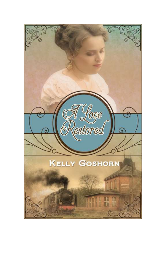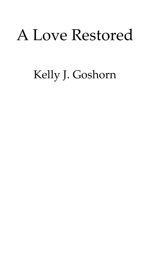# A Love Restored

## Kelly J. Goshorn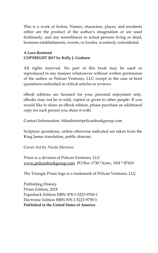This is a work of fiction. Names, characters, places, and incidents either are the product of the author's imagination or are used fictitiously, and any resemblance to actual persons living or dead, business establishments, events, or locales, is entirely coincidental.

#### **A Love Restored COPYRIGHT 2017 by Kelly J. Goshorn**

All rights reserved. No part of this book may be used or reproduced in any manner whatsoever without written permission of the author or Pelican Ventures, LLC except in the case of brief quotations embodied in critical articles or reviews.

eBook editions are licensed for your personal enjoyment only. eBooks may not be re-sold, copied or given to other people. If you would like to share an eBook edition, please purchase an additional copy for each person you share it with.

Contact Information: titleadmin@pelicanbookgroup.com

Scripture quotations, unless otherwise indicated are taken from the King James translation, public domain.

Cover Art by *Nicola Martinez*

Prism is a division of Pelican Ventures, LLC [www.pelicanbookgroup.com](http://www.pelicanbookgroup.com/) PO Box 1738 \*Aztec, NM \* 87410

The Triangle Prism logo is a trademark of Pelican Ventures, LLC

Publishing History Prism Edition, 2018 Paperback Edition ISBN 978-1-5223-9760-1 Electronic Edition ISBN 978-1-5223-9759-5 **Published in the United States of America**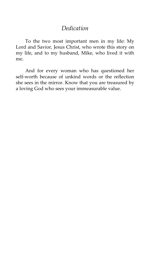#### *Dedication*

To the two most important men in my life: My Lord and Savior, Jesus Christ, who wrote this story on my life, and to my husband, Mike, who lived it with me.

And for every woman who has questioned her self-worth because of unkind words or the reflection she sees in the mirror. Know that you are treasured by a loving God who sees your immeasurable value.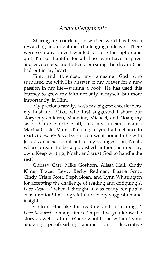Sharing my courtship in written word has been a rewarding and oftentimes challenging endeavor. There were so many times I wanted to close the laptop and quit. I'm so thankful for all those who have inspired and encouraged me to keep pursuing the dream God had put in my heart.

First and foremost, my amazing God who surprised me with His answer to my prayer for a new passion in my life—writing a book! He has used this journey to grow my faith not only in myself, but more importantly, in Him.

My precious family, a/k/a my biggest cheerleaders, my husband, Mike, who first suggested I share our story; my children, Madeline, Michael, and Noah; my sister, Cindy Criste Scott, and my precious mama, Martha Criste. Mama, I'm so glad you had a chance to read *A Love Restored* before you went home to be with Jesus! A special shout out to my youngest son, Noah, whose dream to be a published author inspired my own. Keep writing, Noah, and trust God to handle the rest!

Chrissy Carr, Mike Goshorn, Alissa Hall, Cindy Kling, Tracey Levy, Becky Redman, Duane Scott, Cindy Criste Scott, Steph Sloan, and Lynn Whittington for accepting the challenge of reading and critiquing *A Love Restored* when I thought it was ready for public consumption! I'm so grateful for every suggestion and insight.

Colleen Hoernke for reading and re-reading *A Love Restored* so many times I'm positive you know the story as well as I do. Where would I be without your amazing proofreading abilities and descriptive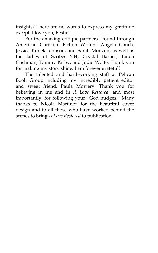insights? There are no words to express my gratitude except, I love you, Bestie!

For the amazing critique partners I found through American Christian Fiction Writers: Angela Couch, Jessica Konek Johnson, and Sarah Monzon, as well as the ladies of Scribes 204; Crystal Barnes, Linda Cushman, Tammy Kirby, and Jodie Wolfe. Thank you for making my story shine. I am forever grateful!

The talented and hard-working staff at Pelican Book Group including my incredibly patient editor and sweet friend, Paula Mowery. Thank you for believing in me and in *A Love Restored*, and most importantly, for following your 'God nudges.' Many thanks to Nicola Martinez for the beautiful cover design and to all those who have worked behind the scenes to bring *A Love Restored* to publication.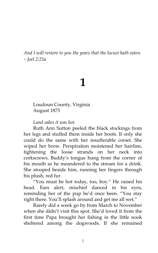*And I will restore to you the years that the locust hath eaten. ~ Joel 2:25a*

### **1**

Loudoun County, Virginia August 1873

*Land sakes it was hot.*

Ruth Ann Sutton peeled the black stockings from her legs and stuffed them inside her boots. If only she could do the same with her insufferable corset. She wiped her brow. Perspiration moistened her hairline, tightening the loose strands on her neck into corkscrews. Buddy's tongue hung from the corner of his mouth as he meandered to the stream for a drink. She stooped beside him, running her fingers through his plush, red fur.

'You must be hot today, too, boy.' He raised his head. Ears alert, mischief danced in his eyes, reminding her of the pup he'd once been. 'You stay right there. You'll splash around and get me all wet.'

Rarely did a week go by from March to November when she didn't visit this spot. She'd loved it from the first time Papa brought her fishing in the little nook sheltered among the dogwoods. If she remained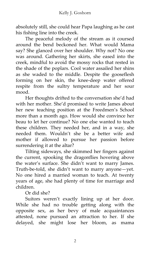absolutely still, she could hear Papa laughing as he cast his fishing line into the creek.

The peaceful melody of the stream as it coursed around the bend beckoned her. What would Mama say? She glanced over her shoulder. Why not? No one was around. Gathering her skirts, she eased into the creek, mindful to avoid the mossy rocks that rested in the shade of the poplars. Cool water assailed her shins as she waded to the middle. Despite the gooseflesh forming on her skin, the knee-deep water offered respite from the sultry temperature and her sour mood.

Her thoughts drifted to the conversation she'd had with her mother. She'd promised to write James about her new teaching position at the Freedmen's School more than a month ago. How would she convince her beau to let her continue? No one else wanted to teach these children. They needed her, and in a way, she needed them. Wouldn't she be a better wife and mother if allowed to pursue her passion before surrendering it at the altar?

Tilting sideways, she skimmed her fingers against the current, spooking the dragonflies hovering above the water's surface. She didn't want to marry James. Truth-be-told, she didn't want to marry anyone—yet. No one hired a married woman to teach. At twenty years of age, she had plenty of time for marriage and children.

Or did she?

Suitors weren't exactly lining up at her door. While she had no trouble getting along with the opposite sex, as her bevy of male acquaintances attested, none pursued an attraction to her. If she delayed, she might lose her bloom, as mama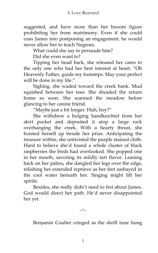suggested, and have more than her buxom figure prohibiting her from matrimony. Even if she could coax James into postponing an engagement, he would never allow her to teach Negroes.

What could she say to persuade him?

Did she even want to?

Tipping her head back, she released her cares to the only one who had her best interest at heart. 'Oh Heavenly Father, guide my footsteps. May your perfect will be done in my life."

Sighing, she waded toward the creek bank. Mud squished between her toes. She dreaded the return home so soon. She scanned the meadow before glancing to her canine friend.

'Maybe just a bit longer. Huh, boy?'

She withdrew a bulging handkerchief from her skirt pocket and deposited it atop a large rock overhanging the creek. With a hearty thrust, she hoisted herself up beside her prize. Anticipating the treasure within, she untwisted the purple stained cloth. Hard to believe she'd found a whole cluster of black raspberries the birds had overlooked. She popped one in her mouth, savoring its mildly tart flavor. Leaning back on her palms, she dangled her legs over the edge, relishing her extended reprieve as her feet sashayed in the cool water beneath her. Singing might lift her spirits.

Besides, she really didn't need to fret about James. God would direct her path. He'd never disappointed her yet.

*~\*~*

Benjamin Coulter cringed as the shrill tune hung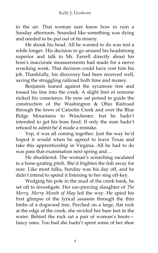in the air. That woman sure knew how to ruin a Sunday afternoon. Sounded like something was dying and needed to be put out of its misery.

He shook his head. All he wanted to do was rest a while longer. His decision to go around his headstrong superior and talk to Mr. Farrell directly about his boss's inaccurate measurements had made for a nerve wracking week. That decision could have cost him his job. Thankfully, his discovery had been received well, saving the struggling railroad both time and money.

Benjamin leaned against the sycamore tree and tossed his line into the creek. A slight hint of remorse nicked his conscience. He now sat poised to guide the construction of the Washington & Ohio Railroad through the town of Catoctin Creek and over the Blue Ridge Mountains to Winchester, but he hadn't intended to get his boss fired. If only the man hadn't refused to admit he'd made a mistake.

Yep, it was all coming together. Just the way he'd hoped it would when he agreed to leave Texas and take this apprenticeship in Virginia. All he had to do was pass that examination next spring and…

He shuddered. The woman's screeching escalated to a bone-grating pitch. She'd frighten the fish away for sure. Like most folks, Sunday was his day off, and he didn't intend to spend it listening to her sing off-key.

Wedging his pole in the mud of the creek bank, he set off to investigate. Her ear-piercing slaughter of *The Merry, Merry Month of May* led the way. He spied his first glimpse of the lyrical assassin through the thin limbs of a dogwood tree. Perched on a large, flat rock at the edge of the creek, she swirled her bare feet in the water. Behind the rock sat a pair of woman's boots fancy ones. Too bad she hadn't spent some of her shoe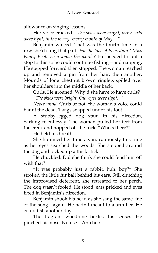allowance on singing lessons.

Her voice cracked*. "The skies were bright, our hearts were light, in the merry, merry month of May…"*

Benjamin winced. That was the fourth time in a row she'd sung that part. *For the love of Pete, didn't Miss Fancy Boots even know the words?* He needed to put a stop to this so he could continue fishing—and napping. He stepped forward then stopped. The woman reached up and removed a pin from her hair, then another. Mounds of long chestnut brown ringlets spilled over her shoulders into the middle of her back.

Curls. He groaned. Why'd she have to have curls? *"The skies were bright. Our eyes were light..."*

*Never mind.* Curls or not, the woman's voice could haunt the dead. Twigs snapped under his foot.

A stubby-legged dog spun in his direction, barking relentlessly. The woman pulled her feet from the creek and hopped off the rock. 'Who's there?'

He held his breath.

She hummed her tune again, cautiously this time as her eyes searched the woods. She stepped around the dog and picked up a thick stick.

He chuckled. Did she think she could fend him off with that?

'It was probably just a rabbit, huh, boy?' She stroked the little fur ball behind his ears. Still clutching the improvised deterrent, she retreated to her perch. The dog wasn't fooled. He stood, ears pricked and eyes fixed in Benjamin's direction.

Benjamin shook his head as she sang the same line of the song—again. He hadn't meant to alarm her. He could fish another day.

The fragrant woodbine tickled his senses. He pinched his nose. No use. 'Ah-choo.'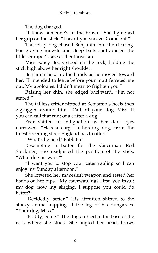The dog charged.

'I know someone's in the brush.' She tightened her grip on the stick. "I heard you sneeze. Come out."

The feisty dog chased Benjamin into the clearing. His graying muzzle and deep bark contradicted the little scrapper's size and enthusiasm.

Miss Fancy Boots stood on the rock, holding the stick high above her right shoulder.

Benjamin held up his hands as he moved toward her. 'I intended to leave before your mutt ferreted me out. My apologies. I didn't mean to frighten you.'

Raising her chin, she edged backward. 'I'm not scared<sup>"</sup>

The tailless critter nipped at Benjamin's heels then zigzagged around him. 'Call off your...dog, Miss. If you can call that runt of a critter a dog.'

Fear shifted to indignation as her dark eyes narrowed. 'He's a corgi—a herding dog, from the finest breeding stock England has to offer.'

'What's he herd? Rabbits?'

Resembling a batter for the Cincinnati Red Stockings, she readjusted the position of the stick. 'What do you want?'

'I want you to stop your caterwauling so I can enjoy my Sunday afternoon.'

She lowered her makeshift weapon and rested her hands on her hips. 'My caterwauling? First, you insult my dog, now my singing. I suppose you could do better?'

'Decidedly better.' His attention shifted to the stocky animal nipping at the leg of his dungarees. 'Your dog, Miss.'

'Buddy, come.' The dog ambled to the base of the rock where she stood. She angled her head, brows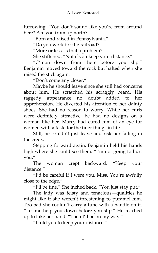furrowing. 'You don't sound like you're from around here? Are you from up north?'

'Born and raised in Pennsylvania.'

'Do you work for the railroad?'

'More or less. Is that a problem?'

She stiffened. "Not if you keep your distance."

'C'mon down from there before you slip.' Benjamin moved toward the rock but halted when she raised the stick again.

'Don't come any closer.'

Maybe he should leave since she still had concerns about him. He scratched his scraggly beard. His raggedy appearance no doubt added to her apprehension. He diverted his attention to her dainty shoes. She had no reason to worry. While her curls were definitely attractive, he had no designs on a woman like her. Marcy had cured him of an eye for women with a taste for the finer things in life.

Still, he couldn't just leave and risk her falling in the creek.

Stepping forward again, Benjamin held his hands high where she could see them. 'I'm not going to hurt you.'

The woman crept backward. 'Keep your distance<sup>"</sup>

'I'd be careful if I were you, Miss. You're awfully close to the edge.'

'I'll be fine.' She inched back. 'You just stay put.'

The lady was feisty and tenacious—qualities he might like if she weren't threatening to pummel him. Too bad she couldn't carry a tune with a handle on it. 'Let me help you down before you slip.' He reached up to take her hand. 'Then I'll be on my way.'

'I told you to keep your distance.'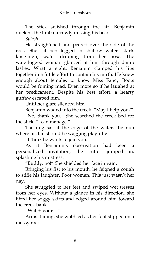The stick swished through the air. Benjamin ducked, the limb narrowly missing his head.

*Splash.*

He straightened and peered over the side of the rock. She sat bent-legged in shallow water—skirts knee-high, water dripping from her nose. The waterlogged woman glanced at him through damp lashes. What a sight. Benjamin clamped his lips together in a futile effort to contain his mirth. He knew enough about females to know Miss Fancy Boots would be fuming mad. Even more so if he laughed at her predicament. Despite his best effort, a hearty guffaw escaped him.

Until her glare silenced him.

Benjamin waded into the creek. "May I help you?"

'No, thank you.' She searched the creek bed for the stick. 'I can manage.'

The dog sat at the edge of the water, the nub where his tail should be wagging playfully.

'I think he wants to join you.'

As if Benjamin's observation had been a personalized invitation, the critter jumped in, splashing his mistress.

'Buddy, no!' She shielded her face in vain.

Bringing his fist to his mouth, he feigned a cough to stifle his laughter. Poor woman. This just wasn't her day.

She struggled to her feet and swiped wet tresses from her eyes. Without a glance in his direction, she lifted her soggy skirts and edged around him toward the creek bank.

'Watch your—'

Arms flailing, she wobbled as her foot slipped on a mossy rock.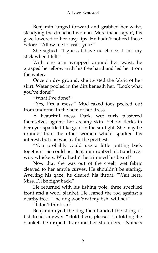Benjamin lunged forward and grabbed her waist, steadying the drenched woman. Mere inches apart, his gaze lowered to her rosy lips. He hadn't noticed those before. "Allow me to assist you?"

She sighed. 'I guess I have no choice. I lost my stick when I fell."

With one arm wrapped around her waist, he grasped her elbow with his free hand and led her from the water.

Once on dry ground, she twisted the fabric of her skirt. Water pooled in the dirt beneath her. 'Look what you've done!'

'What I've done?'

'Yes, I'm a mess.' Mud-caked toes peeked out from underneath the hem of her dress.

A beautiful mess. Dark, wet curls plastered themselves against her creamy skin. Yellow flecks in her eyes sparkled like gold in the sunlight. She may be rounder than the other women who'd sparked his interest, but she was by far the prettiest.

'You probably could use a little putting back together.' So could he. Benjamin rubbed his hand over wiry whiskers. Why hadn't he trimmed his beard?

Now that she was out of the creek, wet fabric cleaved to her ample curves. He shouldn't be staring. Averting his gaze, he cleared his throat. 'Wait here, Miss. I'll be right back.'

He returned with his fishing pole, three speckled trout and a wool blanket. He leaned the rod against a nearby tree. 'The dog won't eat my fish, will he?'

"I don't think so"

Benjamin eyed the dog then handed the string of fish to her anyway. 'Hold these, please.' Unfolding the blanket, he draped it around her shoulders. 'Name's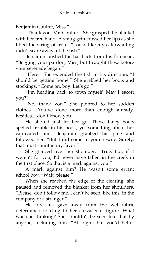Benjamin Coulter, Miss.'

'Thank you, Mr. Coulter.' She grasped the blanket with her free hand. A smug grin crossed her lips as she lifted the string of trout. 'Looks like my caterwauling didn't scare away all the fish."

Benjamin pushed his hat back from his forehead. 'Begging your pardon, Miss, but I caught these before your serenade began.'

'Here.' She extended the fish in his direction. 'I should be getting home.' She grabbed her boots and stockings. 'Come on, boy. Let's go.'

'I'm heading back to town myself. May I escort you?'

'No, thank you.' She pointed to her sodden clothes. 'You've done more than enough already. Besides, I don't know you.'

He should just let her go. Those fancy boots spelled trouble in his book, yet something about her captivated him. Benjamin grabbed his pole and followed her. 'But I did come to your rescue. Surely, that must count in my favor.'

She glanced over her shoulder. 'True. But, if it weren't for you, I'd never have fallen in the creek in the first place. So that is a mark against you.'

A mark against him? He wasn't some errant school boy. "Wait, please."

When she reached the edge of the clearing, she paused and removed the blanket from her shoulders. 'Please, don't follow me. I can't be seen, like this*,* in the company of a stranger.'

He tore his gaze away from the wet fabric determined to cling to her curvaceous figure. What was she thinking? She shouldn't be seen like that by anyone, including him. 'All right, but you'd better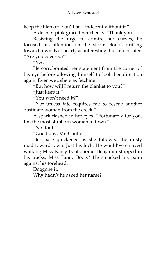keep the blanket. You'll be…indecent without it.'

A dash of pink graced her cheeks. 'Thank you.'

Resisting the urge to admire her curves, he focused his attention on the storm clouds drifting toward town. Not nearly as interesting, but much safer. 'Are you covered?'

 $''Y$ es."

He corroborated her statement from the corner of his eye before allowing himself to look her direction again. Even wet, she was fetching.

'But how will I return the blanket to you?'

'Just keep it.'

'You won't need it?'

'Not unless fate requires me to rescue another obstinate woman from the creek.'

A spark flashed in her eyes. 'Fortunately for you, I'm the most stubborn woman in town"

"No doubt"

'Good day, Mr. Coulter.'

Her pace quickened as she followed the dusty road toward town. Just his luck. He would've enjoyed walking Miss Fancy Boots home. Benjamin stopped in his tracks. Miss Fancy Boots? He smacked his palm against his forehead.

Doggone it.

Why hadn't he asked her name?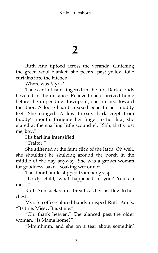## **2**

Ruth Ann tiptoed across the veranda. Clutching the green wool blanket, she peered past yellow toile curtains into the kitchen.

Where was Myra?

The scent of rain lingered in the air. Dark clouds hovered in the distance. Relieved she'd arrived home before the impending downpour, she hurried toward the door. A loose board creaked beneath her muddy feet. She cringed. A low throaty bark crept from Buddy's mouth. Bringing her finger to her lips, she glared at the snarling little scoundrel. 'Shh, that's just me, boy.'

His barking intensified.

"Traitor"

She stiffened at the faint click of the latch. Oh well, she shouldn't be skulking around the porch in the middle of the day anyway. She was a grown woman for goodness' sake—soaking wet or not.

The door handle slipped from her grasp.

'Lordy child, what happened to you? You's a mess<sup>"</sup>

Ruth Ann sucked in a breath, as her fist flew to her chest.

Myra's coffee-colored hands grasped Ruth Ann's. 'Its fine, Missy. It just me.'

'Oh, thank heaven.' She glanced past the older woman. 'Is Mama home?'

'Mmmhmm, and she on a tear about somethin'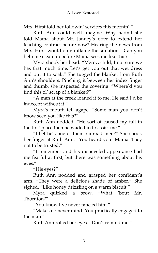Mrs. Hirst told her followin' services this mornin'."

Ruth Ann could well imagine. Why hadn't she told Mama about Mr. Janney's offer to extend her teaching contract before now? Hearing the news from Mrs. Hirst would only inflame the situation. 'Can you help me clean up before Mama sees me like this?"

Myra shook her head. 'Mercy, child, I not sure we has that much time. Let's get you out that wet dress and put it to soak.' She tugged the blanket from Ruth Ann's shoulders. Pinching it between her index finger and thumb, she inspected the covering. 'Where'd you find this ol' scrap of a blanket?'

'A man at the creek loaned it to me. He said I'd be indecent without it."

Myra's mouth fell agape. 'Some man you don't know seen you like this?'

Ruth Ann nodded. 'He sort of caused my fall in the first place then he waded in to assist me.'

'I bet he's one of them railroad men?' She shook her finger at Ruth Ann. 'You heard your Mama. They not to be trusted.'

'I remember and his disheveled appearance had me fearful at first, but there was something about his eyes.'

"His eyes?"

Ruth Ann nodded and grasped her confidant's arm. 'They were a delicious shade of amber.' She sighed. 'Like honey drizzling on a warm biscuit.'

Myra quirked a brow. 'What 'bout Mr. Thornton?'

'You know I've never fancied him.'

'Makes no never mind. You practically engaged to the man"

Ruth Ann rolled her eyes. 'Don't remind me.'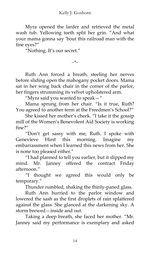Myra opened the larder and retrieved the metal wash tub. Yellowing teeth split her grin. 'And what your mama gonna say 'bout this railroad man with the fine eyes?'

'Nothing. It's our secret.'

Ruth Ann forced a breath, steeling her nerves before sliding open the mahogany pocket doors. Mama sat in her wing back chair in the corner of the parlor, her fingers strumming its velvet upholstered arm.

*~\*~*

'Myra said you wanted to speak—'

Mama sprung from her chair. 'Is it true, Ruth? You agreed to another term at the Freedmen's School?'

She kissed her mother's cheek. 'I take it the gossip mill of the Women's Benevolent Aid Society is working fine?'

'Don't get sassy with me, Ruth. I spoke with Genevieve Hirst this morning. Imagine my embarrassment when I learned this news from her. She is none too pleased either.'

'I had planned to tell you earlier, but it slipped my mind. Mr. Janney offered the contract Friday afternoon.'

'I thought we agreed this would only be temporary.'

Thunder rumbled, shaking the thinly-paned glass.

Ruth Ann hurried to the parlor window and lowered the sash as the first droplets of rain splattered against the glass. She glanced at the darkening sky. A storm brewed—inside and out.

Taking a deep breath, she faced her mother. 'Mr. Janney said my performance is exemplary and asked